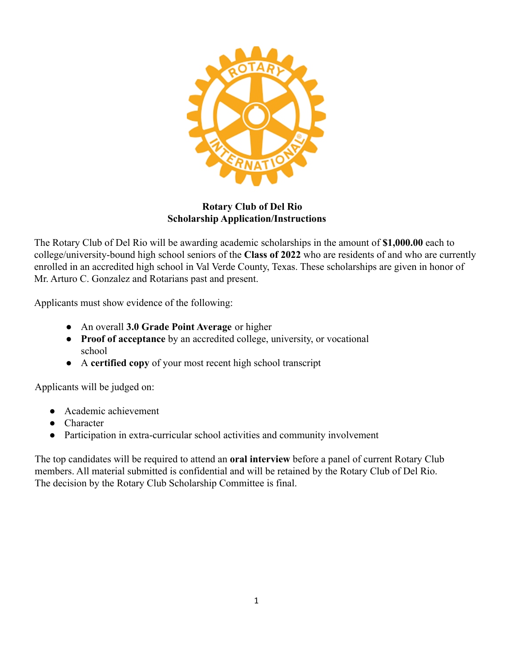

#### **Rotary Club of Del Rio Scholarship Application/Instructions**

The Rotary Club of Del Rio will be awarding academic scholarships in the amount of **\$1,000.00** each to college/university-bound high school seniors of the **Class of 2022** who are residents of and who are currently enrolled in an accredited high school in Val Verde County, Texas. These scholarships are given in honor of Mr. Arturo C. Gonzalez and Rotarians past and present.

Applicants must show evidence of the following:

- An overall **3.0 Grade Point Average** or higher
- **Proof of acceptance** by an accredited college, university, or vocational school
- A **certified copy** of your most recent high school transcript

Applicants will be judged on:

- Academic achievement
- Character
- Participation in extra-curricular school activities and community involvement

The top candidates will be required to attend an **oral interview** before a panel of current Rotary Club members. All material submitted is confidential and will be retained by the Rotary Club of Del Rio. The decision by the Rotary Club Scholarship Committee is final.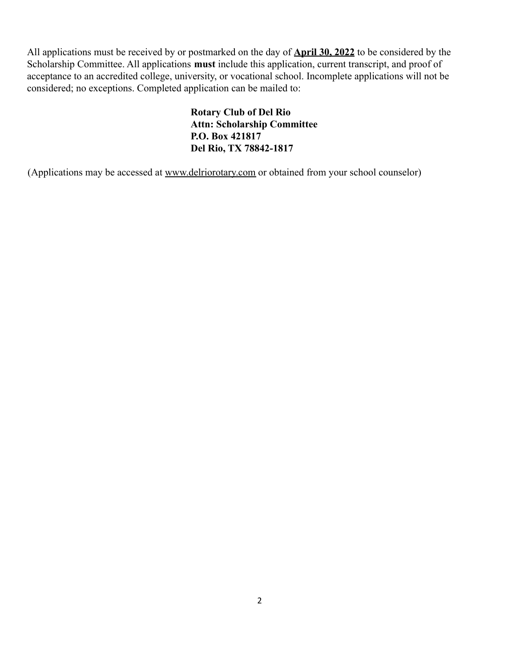All applications must be received by or postmarked on the day of **April 30, 2022** to be considered by the Scholarship Committee. All applications **must** include this application, current transcript, and proof of acceptance to an accredited college, university, or vocational school. Incomplete applications will not be considered; no exceptions. Completed application can be mailed to:

> **Rotary Club of Del Rio Attn: Scholarship Committee P.O. Box 421817 Del Rio, TX 78842-1817**

(Applications may be accessed at [www.delriorotary.com](http://www.delriorotary.com) or obtained from your school counselor)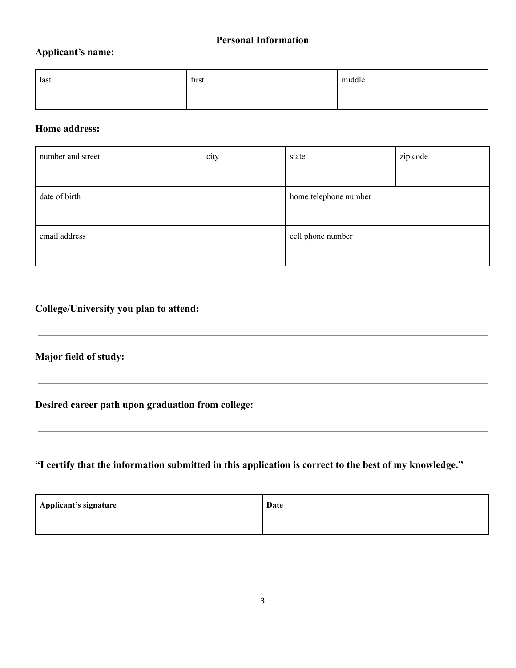#### **Personal Information**

#### **Applicant's name:**

| last | first | middle |
|------|-------|--------|
|      |       |        |

#### **Home address:**

| number and street | city | state                 | zip code |
|-------------------|------|-----------------------|----------|
|                   |      |                       |          |
| date of birth     |      | home telephone number |          |
|                   |      |                       |          |
| email address     |      | cell phone number     |          |
|                   |      |                       |          |

## **College/University you plan to attend:**

## **Major field of study:**

**Desired career path upon graduation from college:**

**"I certify that the information submitted in this application is correct to the best of my knowledge."**

| Applicant's signature | Date |
|-----------------------|------|
|                       |      |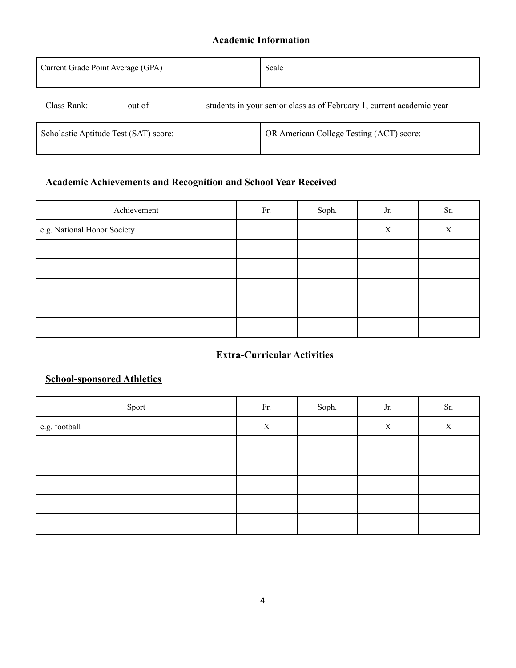#### **Academic Information**

| Current Grade Point Average (GPA)     | Scale                                                                 |  |  |
|---------------------------------------|-----------------------------------------------------------------------|--|--|
| Class Rank:<br>out of                 | students in your senior class as of February 1, current academic year |  |  |
| Scholastic Aptitude Test (SAT) score: | OR American College Testing (ACT) score:                              |  |  |

### **Academic Achievements and Recognition and School Year Received**

| Achievement                 | Fr. | Soph. | Jr. | Sr. |
|-----------------------------|-----|-------|-----|-----|
| e.g. National Honor Society |     |       | X   | X   |
|                             |     |       |     |     |
|                             |     |       |     |     |
|                             |     |       |     |     |
|                             |     |       |     |     |
|                             |     |       |     |     |

#### **Extra-Curricular Activities**

#### **School-sponsored Athletics**

| Sport         | Fr. | Soph. | Jr. | Sr. |
|---------------|-----|-------|-----|-----|
| e.g. football | X   |       | X   | X   |
|               |     |       |     |     |
|               |     |       |     |     |
|               |     |       |     |     |
|               |     |       |     |     |
|               |     |       |     |     |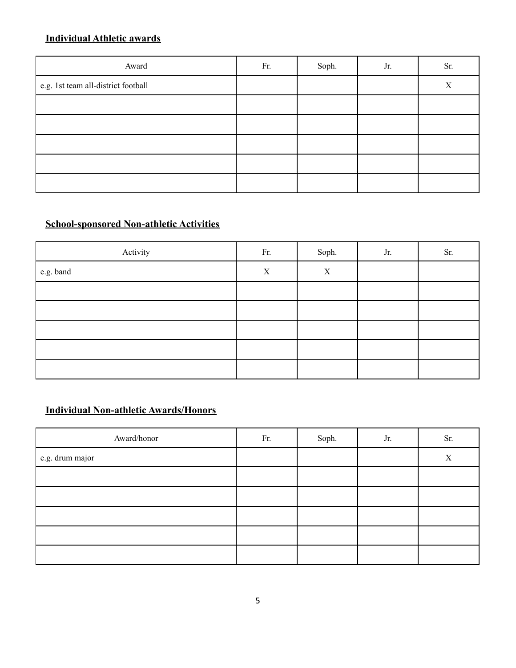### **Individual Athletic awards**

| Award                               | Fr. | Soph. | Jr. | Sr. |
|-------------------------------------|-----|-------|-----|-----|
| e.g. 1st team all-district football |     |       |     | X   |
|                                     |     |       |     |     |
|                                     |     |       |     |     |
|                                     |     |       |     |     |
|                                     |     |       |     |     |
|                                     |     |       |     |     |

# **School-sponsored Non-athletic Activities**

| Activity  | Fr. | Soph.            | Jr. | Sr. |
|-----------|-----|------------------|-----|-----|
| e.g. band | X   | $\boldsymbol{X}$ |     |     |
|           |     |                  |     |     |
|           |     |                  |     |     |
|           |     |                  |     |     |
|           |     |                  |     |     |
|           |     |                  |     |     |

## **Individual Non-athletic Awards/Honors**

| Award/honor     | Fr. | Soph. | Jr. | Sr. |
|-----------------|-----|-------|-----|-----|
| e.g. drum major |     |       |     | X   |
|                 |     |       |     |     |
|                 |     |       |     |     |
|                 |     |       |     |     |
|                 |     |       |     |     |
|                 |     |       |     |     |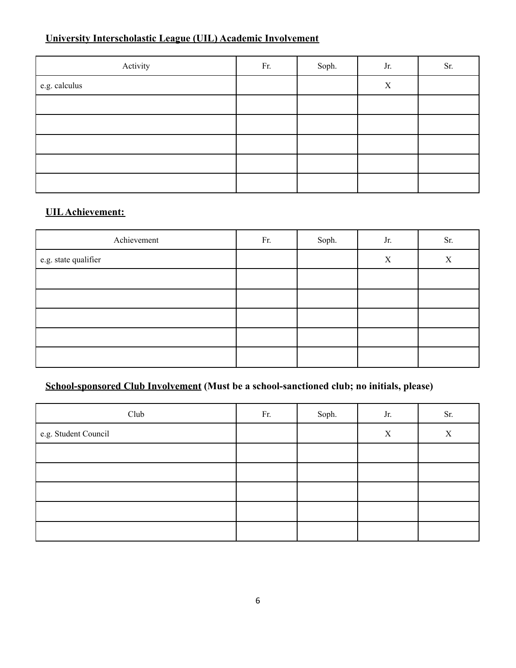# **University Interscholastic League (UIL) Academic Involvement**

| Activity      | Fr. | Soph. | Jr.         | Sr. |
|---------------|-----|-------|-------------|-----|
| e.g. calculus |     |       | $\mathbf X$ |     |
|               |     |       |             |     |
|               |     |       |             |     |
|               |     |       |             |     |
|               |     |       |             |     |
|               |     |       |             |     |

### **UIL Achievement:**

| Achievement          | Fr. | Soph. | Jr. | Sr. |
|----------------------|-----|-------|-----|-----|
| e.g. state qualifier |     |       | X   | X   |
|                      |     |       |     |     |
|                      |     |       |     |     |
|                      |     |       |     |     |
|                      |     |       |     |     |
|                      |     |       |     |     |

# **School-sponsored Club Involvement (Must be a school-sanctioned club; no initials, please)**

| Club                 | Fr. | Soph. | Jr.         | Sr. |
|----------------------|-----|-------|-------------|-----|
| e.g. Student Council |     |       | $\mathbf X$ | X   |
|                      |     |       |             |     |
|                      |     |       |             |     |
|                      |     |       |             |     |
|                      |     |       |             |     |
|                      |     |       |             |     |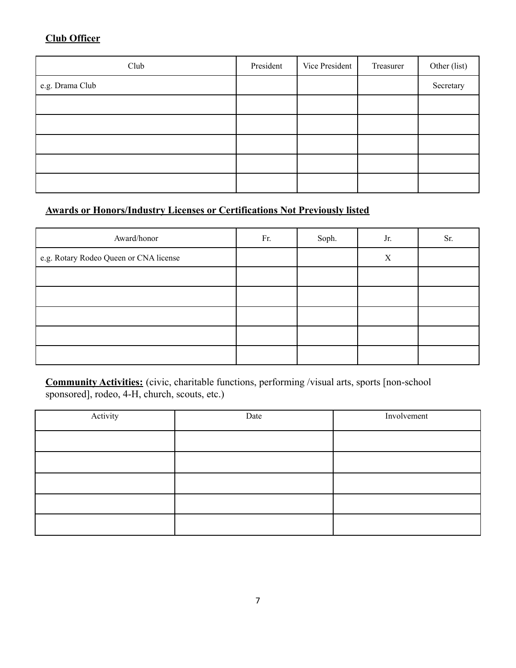### **Club Officer**

| Club            | President | Vice President | Treasurer | Other (list) |
|-----------------|-----------|----------------|-----------|--------------|
| e.g. Drama Club |           |                |           | Secretary    |
|                 |           |                |           |              |
|                 |           |                |           |              |
|                 |           |                |           |              |
|                 |           |                |           |              |
|                 |           |                |           |              |

# **Awards or Honors/Industry Licenses or Certifications Not Previously listed**

| Award/honor                            | Fr. | Soph. | Jr. | Sr. |
|----------------------------------------|-----|-------|-----|-----|
| e.g. Rotary Rodeo Queen or CNA license |     |       | X   |     |
|                                        |     |       |     |     |
|                                        |     |       |     |     |
|                                        |     |       |     |     |
|                                        |     |       |     |     |
|                                        |     |       |     |     |

**Community Activities:** (civic, charitable functions, performing /visual arts, sports [non-school sponsored], rodeo, 4-H, church, scouts, etc.)

| Activity | Date | Involvement |
|----------|------|-------------|
|          |      |             |
|          |      |             |
|          |      |             |
|          |      |             |
|          |      |             |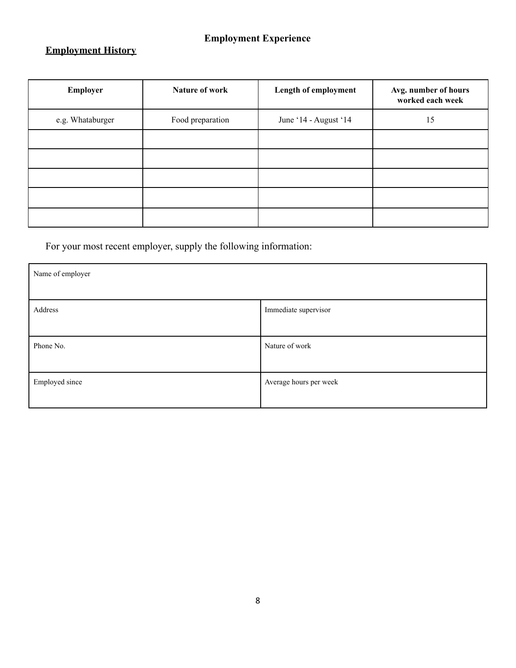# **Employment Experience**

# **Employment History**

| Employer         | Nature of work   | Length of employment  | Avg. number of hours<br>worked each week |
|------------------|------------------|-----------------------|------------------------------------------|
| e.g. Whataburger | Food preparation | June '14 - August '14 | 15                                       |
|                  |                  |                       |                                          |
|                  |                  |                       |                                          |
|                  |                  |                       |                                          |
|                  |                  |                       |                                          |
|                  |                  |                       |                                          |

For your most recent employer, supply the following information:

| Name of employer |                        |  |
|------------------|------------------------|--|
| Address          | Immediate supervisor   |  |
| Phone No.        | Nature of work         |  |
| Employed since   | Average hours per week |  |